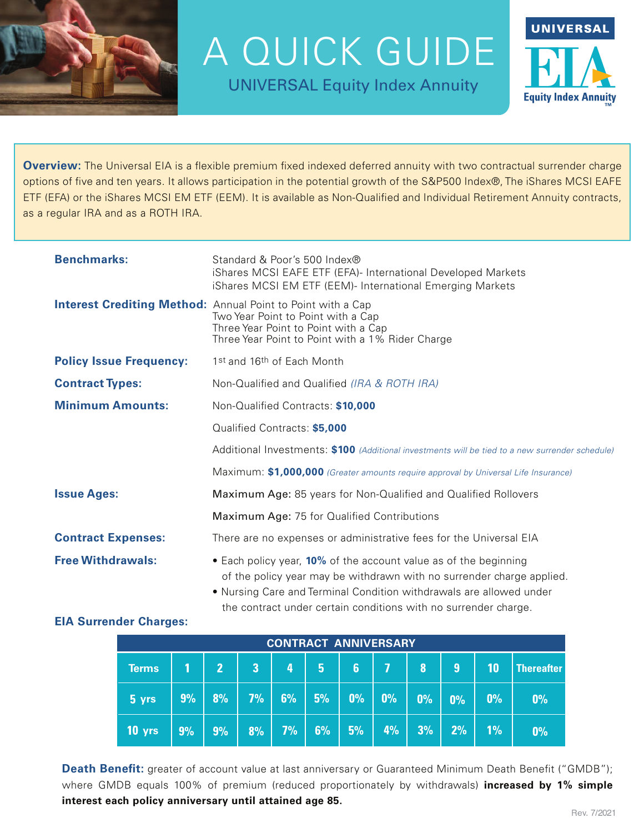

A QUICK GUIDE

UNIVERSAL Equity Index Annuity



**Overview:** The Universal EIA is a flexible premium fixed indexed deferred annuity with two contractual surrender charge options of five and ten years. It allows participation in the potential growth of the S&P500 Index®, The iShares MCSI EAFE ETF (EFA) or the iShares MCSI EM ETF (EEM). It is available as Non-Qualified and Individual Retirement Annuity contracts, as a regular IRA and as a ROTH IRA.

| <b>Benchmarks:</b>             | Standard & Poor's 500 Index®<br>iShares MCSI EAFE ETF (EFA)- International Developed Markets<br>iShares MCSI EM ETF (EEM)- International Emerging Markets                                                        |  |  |  |  |  |  |  |
|--------------------------------|------------------------------------------------------------------------------------------------------------------------------------------------------------------------------------------------------------------|--|--|--|--|--|--|--|
|                                | <b>Interest Crediting Method:</b> Annual Point to Point with a Cap<br>Two Year Point to Point with a Cap<br>Three Year Point to Point with a Cap<br>Three Year Point to Point with a 1% Rider Charge             |  |  |  |  |  |  |  |
| <b>Policy Issue Frequency:</b> | 1st and 16th of Each Month                                                                                                                                                                                       |  |  |  |  |  |  |  |
| <b>Contract Types:</b>         | Non-Qualified and Qualified (IRA & ROTH IRA)                                                                                                                                                                     |  |  |  |  |  |  |  |
| <b>Minimum Amounts:</b>        | Non-Qualified Contracts: \$10,000                                                                                                                                                                                |  |  |  |  |  |  |  |
|                                | Qualified Contracts: \$5,000                                                                                                                                                                                     |  |  |  |  |  |  |  |
|                                | Additional Investments: \$100 (Additional investments will be tied to a new surrender schedule)                                                                                                                  |  |  |  |  |  |  |  |
|                                | Maximum: \$1,000,000 (Greater amounts require approval by Universal Life Insurance)                                                                                                                              |  |  |  |  |  |  |  |
| <b>Issue Ages:</b>             | Maximum Age: 85 years for Non-Qualified and Qualified Rollovers                                                                                                                                                  |  |  |  |  |  |  |  |
|                                | Maximum Age: 75 for Qualified Contributions                                                                                                                                                                      |  |  |  |  |  |  |  |
| <b>Contract Expenses:</b>      | There are no expenses or administrative fees for the Universal EIA                                                                                                                                               |  |  |  |  |  |  |  |
| <b>Free Withdrawals:</b>       | • Each policy year, 10% of the account value as of the beginning<br>of the policy year may be withdrawn with no surrender charge applied.<br>• Nursing Care and Terminal Condition withdrawals are allowed under |  |  |  |  |  |  |  |

Nursing Care and Ierminal Condition withdrawals are allowed under the contract under certain conditions with no surrender charge.

## **EIA Surrender Charges:**

| <b>CONTRACT ANNIVERSARY</b> |    |                |                         |    |    |                |                |    |                   |    |            |
|-----------------------------|----|----------------|-------------------------|----|----|----------------|----------------|----|-------------------|----|------------|
| <b>Terms</b>                |    | $\overline{2}$ | $\overline{\mathbf{3}}$ | 4  | 5  | $6\phantom{1}$ | $\overline{I}$ | 8  | 9                 | 10 | Thereafter |
| 5 yrs                       | 9% | 8%             | 7%                      | 6% | 5% | 0%             | 0%             | 0% | $\overline{10\%}$ | 0% | 0%         |
| 10 yrs                      | 9% | 9%             | 8%                      | 7% | 6% | 5%             | 4%             | 3% | 2%                | 1% | 0%         |

**Death Benefit:** greater of account value at last anniversary or Guaranteed Minimum Death Benefit ("GMDB"); where GMDB equals 100% of premium (reduced proportionately by withdrawals) **increased by 1% simple interest each policy anniversary until attained age 85.**